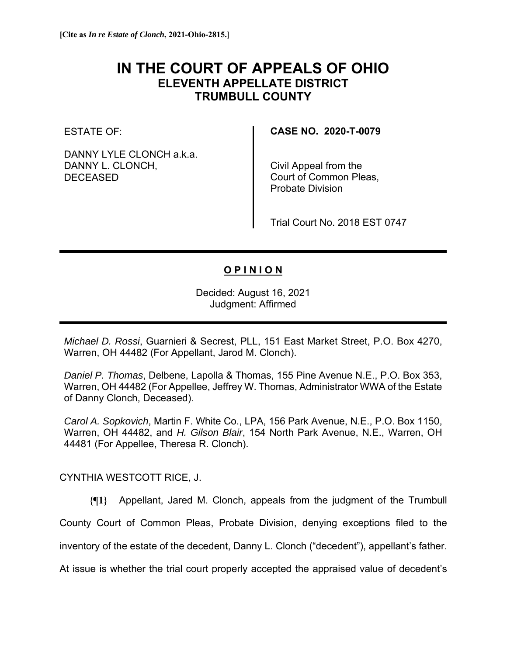## **IN THE COURT OF APPEALS OF OHIO ELEVENTH APPELLATE DISTRICT TRUMBULL COUNTY**

ESTATE OF:

DANNY LYLE CLONCH a.k.a. DANNY L. CLONCH, DECEASED

**CASE NO. 2020-T-0079** 

Civil Appeal from the Court of Common Pleas, Probate Division

Trial Court No. 2018 EST 0747

## **O P I N I O N**

Decided: August 16, 2021 Judgment: Affirmed

*Michael D. Rossi*, Guarnieri & Secrest, PLL, 151 East Market Street, P.O. Box 4270, Warren, OH 44482 (For Appellant, Jarod M. Clonch).

*Daniel P. Thomas*, Delbene, Lapolla & Thomas, 155 Pine Avenue N.E., P.O. Box 353, Warren, OH 44482 (For Appellee, Jeffrey W. Thomas, Administrator WWA of the Estate of Danny Clonch, Deceased).

*Carol A. Sopkovich*, Martin F. White Co., LPA, 156 Park Avenue, N.E., P.O. Box 1150, Warren, OH 44482, and *H. Gilson Blair*, 154 North Park Avenue, N.E., Warren, OH 44481 (For Appellee, Theresa R. Clonch).

CYNTHIA WESTCOTT RICE, J.

**{¶1}** Appellant, Jared M. Clonch, appeals from the judgment of the Trumbull County Court of Common Pleas, Probate Division, denying exceptions filed to the inventory of the estate of the decedent, Danny L. Clonch ("decedent"), appellant's father. At issue is whether the trial court properly accepted the appraised value of decedent's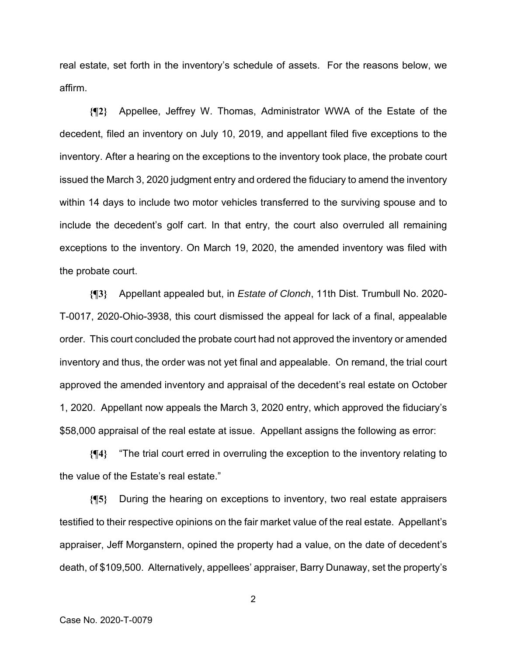real estate, set forth in the inventory's schedule of assets. For the reasons below, we affirm.

**{¶2}** Appellee, Jeffrey W. Thomas, Administrator WWA of the Estate of the decedent, filed an inventory on July 10, 2019, and appellant filed five exceptions to the inventory. After a hearing on the exceptions to the inventory took place, the probate court issued the March 3, 2020 judgment entry and ordered the fiduciary to amend the inventory within 14 days to include two motor vehicles transferred to the surviving spouse and to include the decedent's golf cart. In that entry, the court also overruled all remaining exceptions to the inventory. On March 19, 2020, the amended inventory was filed with the probate court.

**{¶3}** Appellant appealed but, in *Estate of Clonch*, 11th Dist. Trumbull No. 2020- T-0017, 2020-Ohio-3938, this court dismissed the appeal for lack of a final, appealable order. This court concluded the probate court had not approved the inventory or amended inventory and thus, the order was not yet final and appealable. On remand, the trial court approved the amended inventory and appraisal of the decedent's real estate on October 1, 2020. Appellant now appeals the March 3, 2020 entry, which approved the fiduciary's \$58,000 appraisal of the real estate at issue. Appellant assigns the following as error:

**{¶4}** "The trial court erred in overruling the exception to the inventory relating to the value of the Estate's real estate."

**{¶5}** During the hearing on exceptions to inventory, two real estate appraisers testified to their respective opinions on the fair market value of the real estate. Appellant's appraiser, Jeff Morganstern, opined the property had a value, on the date of decedent's death, of \$109,500. Alternatively, appellees' appraiser, Barry Dunaway, set the property's

2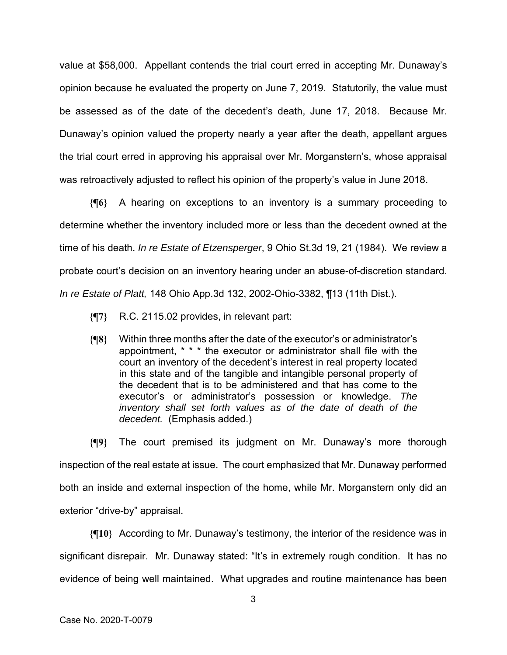value at \$58,000. Appellant contends the trial court erred in accepting Mr. Dunaway's opinion because he evaluated the property on June 7, 2019. Statutorily, the value must be assessed as of the date of the decedent's death, June 17, 2018. Because Mr. Dunaway's opinion valued the property nearly a year after the death, appellant argues the trial court erred in approving his appraisal over Mr. Morganstern's, whose appraisal was retroactively adjusted to reflect his opinion of the property's value in June 2018.

**{¶6}** A hearing on exceptions to an inventory is a summary proceeding to determine whether the inventory included more or less than the decedent owned at the time of his death. *In re Estate of Etzensperger*, 9 Ohio St.3d 19, 21 (1984). We review a probate court's decision on an inventory hearing under an abuse-of-discretion standard. *In re Estate of Platt,* 148 Ohio App.3d 132, 2002-Ohio-3382, ¶13 (11th Dist.).

- **{¶7}** R.C. 2115.02 provides, in relevant part:
- **{¶8}** Within three months after the date of the executor's or administrator's appointment, \* \* \* the executor or administrator shall file with the court an inventory of the decedent's interest in real property located in this state and of the tangible and intangible personal property of the decedent that is to be administered and that has come to the executor's or administrator's possession or knowledge. *The inventory shall set forth values as of the date of death of the decedent.* (Emphasis added.)

**{¶9}** The court premised its judgment on Mr. Dunaway's more thorough inspection of the real estate at issue. The court emphasized that Mr. Dunaway performed both an inside and external inspection of the home, while Mr. Morganstern only did an exterior "drive-by" appraisal.

**{¶10}** According to Mr. Dunaway's testimony, the interior of the residence was in significant disrepair. Mr. Dunaway stated: "It's in extremely rough condition. It has no evidence of being well maintained. What upgrades and routine maintenance has been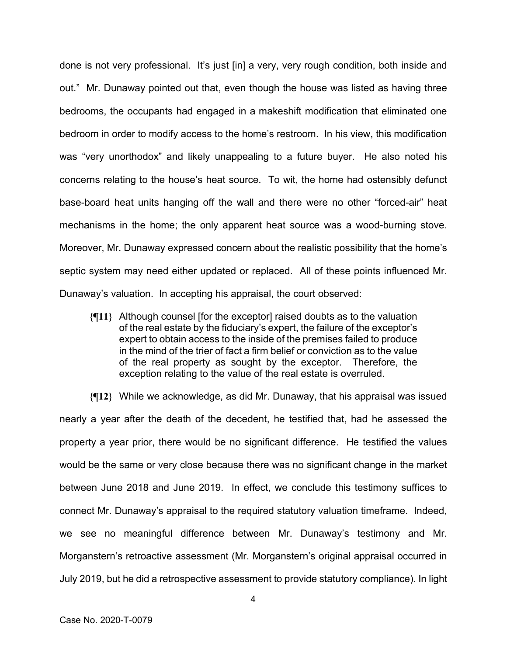done is not very professional. It's just [in] a very, very rough condition, both inside and out." Mr. Dunaway pointed out that, even though the house was listed as having three bedrooms, the occupants had engaged in a makeshift modification that eliminated one bedroom in order to modify access to the home's restroom. In his view, this modification was "very unorthodox" and likely unappealing to a future buyer. He also noted his concerns relating to the house's heat source. To wit, the home had ostensibly defunct base-board heat units hanging off the wall and there were no other "forced-air" heat mechanisms in the home; the only apparent heat source was a wood-burning stove. Moreover, Mr. Dunaway expressed concern about the realistic possibility that the home's septic system may need either updated or replaced. All of these points influenced Mr. Dunaway's valuation. In accepting his appraisal, the court observed:

**{¶11}** Although counsel [for the exceptor] raised doubts as to the valuation of the real estate by the fiduciary's expert, the failure of the exceptor's expert to obtain access to the inside of the premises failed to produce in the mind of the trier of fact a firm belief or conviction as to the value of the real property as sought by the exceptor. Therefore, the exception relating to the value of the real estate is overruled.

**{¶12}** While we acknowledge, as did Mr. Dunaway, that his appraisal was issued nearly a year after the death of the decedent, he testified that, had he assessed the property a year prior, there would be no significant difference. He testified the values would be the same or very close because there was no significant change in the market between June 2018 and June 2019. In effect, we conclude this testimony suffices to connect Mr. Dunaway's appraisal to the required statutory valuation timeframe. Indeed, we see no meaningful difference between Mr. Dunaway's testimony and Mr. Morganstern's retroactive assessment (Mr. Morganstern's original appraisal occurred in July 2019, but he did a retrospective assessment to provide statutory compliance). In light